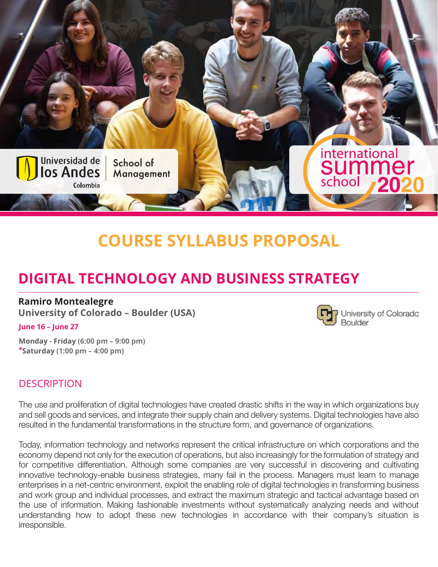

# **COURSE SYLLABUS PROPOSAL**

University of Coloradc

**Boulder** 

## **DIGITAL TECHNOLOGY AND BUSINESS STRATEGY**

#### **Ramiro Montealegre**

**University of Colorado – Boulder (USA)**

#### **June 16 – June 27**

**Monday - Friday (6:00 pm – 9:00 pm) \*Saturday (1:00 pm – 4:00 pm)**

#### **DESCRIPTION**

The use and proliferation of digital technologies have created drastic shifts in the way in which organizations buy and sell goods and services, and integrate their supply chain and delivery systems. Digital technologies have also resulted in the fundamental transformations in the structure form, and governance of organizations.

Today, information technology and networks represent the critical infrastructure on which corporations and the economy depend not only for the execution of operations, but also increasingly for the formulation of strategy and for competitive differentiation. Although some companies are very successful in discovering and cultivating innovative technology-enable business strategies, many fail in the process. Managers must learn to manage enterprises in a net-centric environment, exploit the enabling role of digital technologies in transforming business and work group and individual processes, and extract the maximum strategic and tactical advantage based on the use of information. Making fashionable investments without systematically analyzing needs and without understanding how to adopt these new technologies in accordance with their company's situation is irresponsible.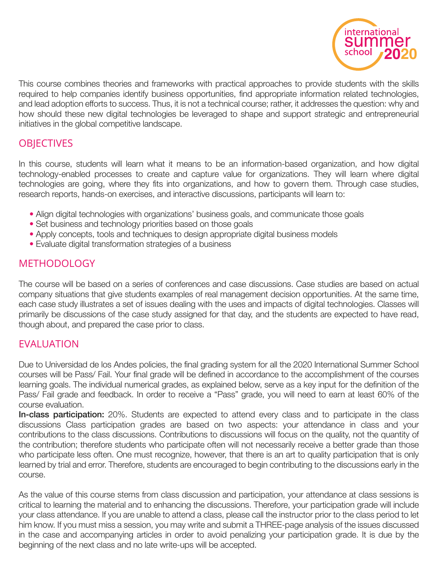

This course combines theories and frameworks with practical approaches to provide students with the skills required to help companies identify business opportunities, find appropriate information related technologies, and lead adoption efforts to success. Thus, it is not a technical course; rather, it addresses the question: why and how should these new digital technologies be leveraged to shape and support strategic and entrepreneurial initiatives in the global competitive landscape.

### **OBJECTIVES**

In this course, students will learn what it means to be an information-based organization, and how digital technology-enabled processes to create and capture value for organizations. They will learn where digital technologies are going, where they fits into organizations, and how to govern them. Through case studies, research reports, hands-on exercises, and interactive discussions, participants will learn to:

- Align digital technologies with organizations' business goals, and communicate those goals
- Set business and technology priorities based on those goals
- Apply concepts, tools and techniques to design appropriate digital business models
- Evaluate digital transformation strategies of a business

### **METHODOLOGY**

The course will be based on a series of conferences and case discussions. Case studies are based on actual company situations that give students examples of real management decision opportunities. At the same time, each case study illustrates a set of issues dealing with the uses and impacts of digital technologies. Classes will primarily be discussions of the case study assigned for that day, and the students are expected to have read, though about, and prepared the case prior to class.

#### EVALUATION

Due to Universidad de los Andes policies, the final grading system for all the 2020 International Summer School courses will be Pass/ Fail. Your final grade will be defined in accordance to the accomplishment of the courses learning goals. The individual numerical grades, as explained below, serve as a key input for the definition of the Pass/ Fail grade and feedback. In order to receive a "Pass" grade, you will need to earn at least 60% of the course evaluation.

In-class participation: 20%. Students are expected to attend every class and to participate in the class discussions Class participation grades are based on two aspects: your attendance in class and your contributions to the class discussions. Contributions to discussions will focus on the quality, not the quantity of the contribution; therefore students who participate often will not necessarily receive a better grade than those who participate less often. One must recognize, however, that there is an art to quality participation that is only learned by trial and error. Therefore, students are encouraged to begin contributing to the discussions early in the course.

As the value of this course stems from class discussion and participation, your attendance at class sessions is critical to learning the material and to enhancing the discussions. Therefore, your participation grade will include your class attendance. If you are unable to attend a class, please call the instructor prior to the class period to let him know. If you must miss a session, you may write and submit a THREE-page analysis of the issues discussed in the case and accompanying articles in order to avoid penalizing your participation grade. It is due by the beginning of the next class and no late write-ups will be accepted.